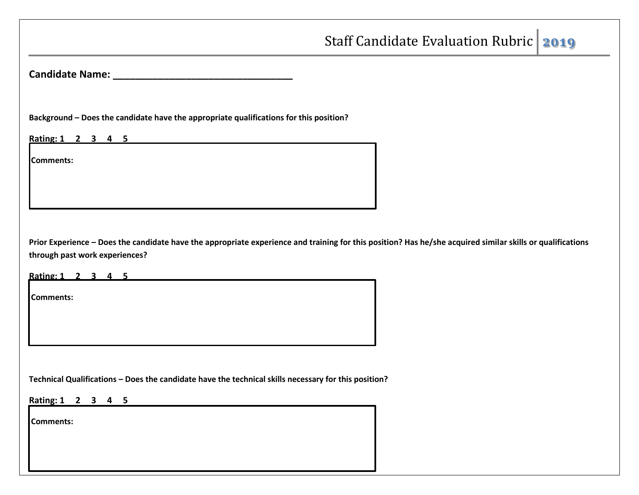**Candidate Name: \_\_\_\_\_\_\_\_\_\_\_\_\_\_\_\_\_\_\_\_\_\_\_\_\_\_\_\_\_\_\_\_** 

**Background – Does the candidate have the appropriate qualifications for this position?**

**Rating: 1 2 3 4 5**

**Comments:** 

**Prior Experience – Does the candidate have the appropriate experience and training for this position? Has he/she acquired similar skills or qualifications through past work experiences?**

**Rating: 1 2 3 4 5**

**Comments:** 

**Technical Qualifications – Does the candidate have the technical skills necessary for this position?**

**Rating: 1 2 3 4 5**

**Comments:**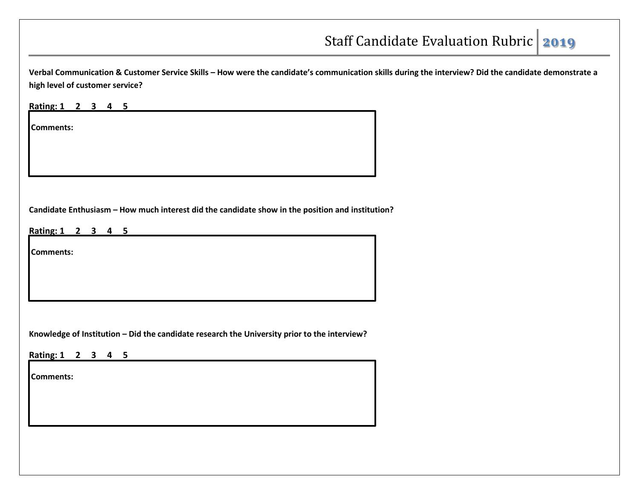**Verbal Communication & Customer Service Skills – How were the candidate's communication skills during the interview? Did the candidate demonstrate a high level of customer service?**

**Rating: 1 2 3 4 5**

**Comments:**

**Candidate Enthusiasm – How much interest did the candidate show in the position and institution?**

**Rating: 1 2 3 4 5**

**Comments:** 

**Knowledge of Institution – Did the candidate research the University prior to the interview?**

**Rating: 1 2 3 4 5**

**Comments:**